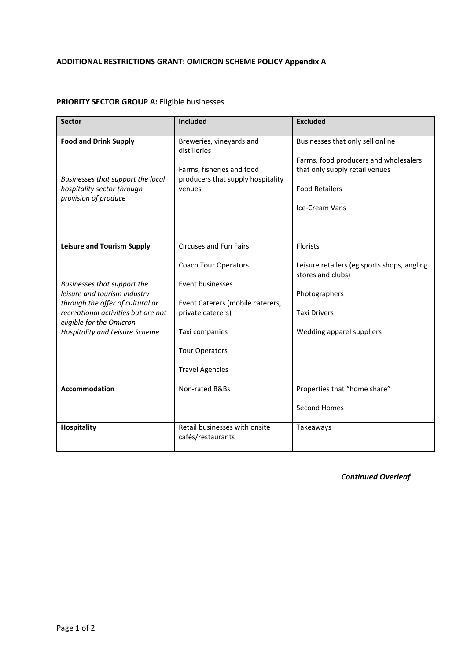## **ADDITIONAL RESTRICTIONS GRANT: OMICRON SCHEME POLICY Appendix A**

## **PRIORITY SECTOR GROUP A:** Eligible businesses

| <b>Sector</b>                                                                                                                                                                                                                             | Included                                                                                                                                                                                                       | <b>Excluded</b>                                                                                                                                        |
|-------------------------------------------------------------------------------------------------------------------------------------------------------------------------------------------------------------------------------------------|----------------------------------------------------------------------------------------------------------------------------------------------------------------------------------------------------------------|--------------------------------------------------------------------------------------------------------------------------------------------------------|
| <b>Food and Drink Supply</b><br>Businesses that support the local<br>hospitality sector through<br>provision of produce                                                                                                                   | Breweries, vineyards and<br>distilleries<br>Farms, fisheries and food<br>producers that supply hospitality<br>venues                                                                                           | Businesses that only sell online<br>Farms, food producers and wholesalers<br>that only supply retail venues<br><b>Food Retailers</b><br>Ice-Cream Vans |
| <b>Leisure and Tourism Supply</b><br>Businesses that support the<br>leisure and tourism industry<br>through the offer of cultural or<br>recreational activities but are not<br>eligible for the Omicron<br>Hospitality and Leisure Scheme | <b>Circuses and Fun Fairs</b><br><b>Coach Tour Operators</b><br>Event businesses<br>Event Caterers (mobile caterers,<br>private caterers)<br>Taxi companies<br><b>Tour Operators</b><br><b>Travel Agencies</b> | Florists<br>Leisure retailers (eg sports shops, angling<br>stores and clubs)<br>Photographers<br><b>Taxi Drivers</b><br>Wedding apparel suppliers      |
| Accommodation                                                                                                                                                                                                                             | Non-rated B&Bs                                                                                                                                                                                                 | Properties that "home share"<br>Second Homes                                                                                                           |
| <b>Hospitality</b>                                                                                                                                                                                                                        | Retail businesses with onsite<br>cafés/restaurants                                                                                                                                                             | Takeaways                                                                                                                                              |

*Continued Overleaf*